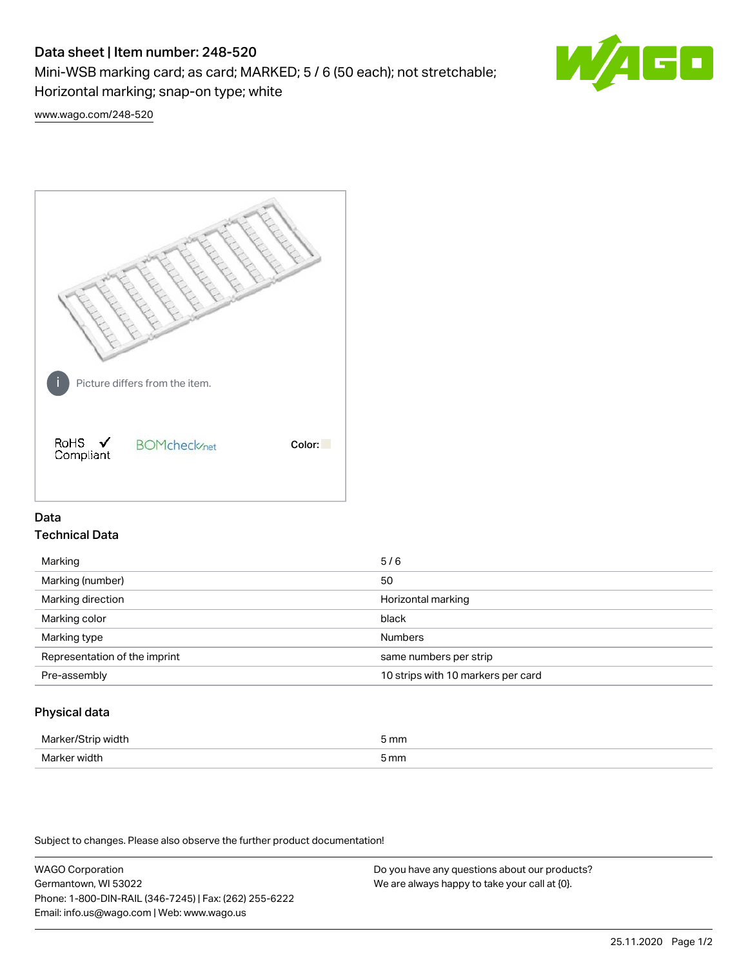# Data sheet | Item number: 248-520

Mini-WSB marking card; as card; MARKED; 5 / 6 (50 each); not stretchable;

Horizontal marking; snap-on type; white

[www.wago.com/248-520](http://www.wago.com/248-520)



## Data Technical Data

| Marking                       | 5/6                                |
|-------------------------------|------------------------------------|
| Marking (number)              | 50                                 |
| Marking direction             | Horizontal marking                 |
| Marking color                 | black                              |
| Marking type                  | <b>Numbers</b>                     |
| Representation of the imprint | same numbers per strip             |
| Pre-assembly                  | 10 strips with 10 markers per card |
|                               |                                    |

## Physical data

| Mai<br>н | 5 mm |
|----------|------|
| ندا\ا    | mm   |
| VK 11.   | .    |
|          |      |

Subject to changes. Please also observe the further product documentation!

WAGO Corporation Germantown, WI 53022 Phone: 1-800-DIN-RAIL (346-7245) | Fax: (262) 255-6222 Email: info.us@wago.com | Web: www.wago.us Do you have any questions about our products? We are always happy to take your call at {0}.

60